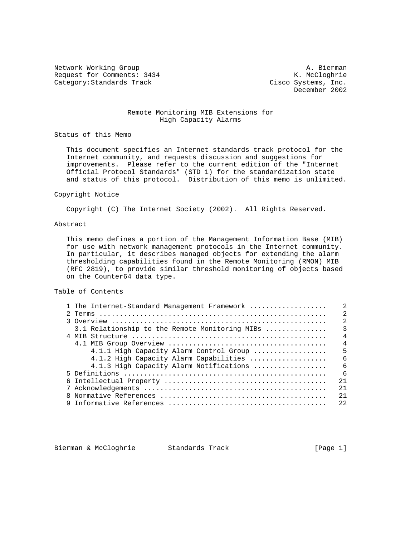Network Working Group A. Bierman Request for Comments: 3434 Category: Standards Track Cisco Systems, Inc.

December 2002

## Remote Monitoring MIB Extensions for High Capacity Alarms

Status of this Memo

 This document specifies an Internet standards track protocol for the Internet community, and requests discussion and suggestions for improvements. Please refer to the current edition of the "Internet Official Protocol Standards" (STD 1) for the standardization state and status of this protocol. Distribution of this memo is unlimited.

### Copyright Notice

Copyright (C) The Internet Society (2002). All Rights Reserved.

### Abstract

 This memo defines a portion of the Management Information Base (MIB) for use with network management protocols in the Internet community. In particular, it describes managed objects for extending the alarm thresholding capabilities found in the Remote Monitoring (RMON) MIB (RFC 2819), to provide similar threshold monitoring of objects based on the Counter64 data type.

## Table of Contents

|  | 1 The Internet-Standard Management Framework   | $\mathfrak{D}$ |
|--|------------------------------------------------|----------------|
|  |                                                | $\mathcal{D}$  |
|  |                                                | $\mathfrak{D}$ |
|  | 3.1 Relationship to the Remote Monitoring MIBs | 3              |
|  |                                                | $\overline{4}$ |
|  |                                                | $\overline{4}$ |
|  | 4.1.1 High Capacity Alarm Control Group        | 5              |
|  | 4.1.2 High Capacity Alarm Capabilities         | $\epsilon$     |
|  | 4.1.3 High Capacity Alarm Notifications        | 6              |
|  |                                                | $\sqrt{2}$     |
|  |                                                | 2.1            |
|  |                                                | 2.1            |
|  |                                                | 2.1            |
|  |                                                | 22             |
|  |                                                |                |

Bierman & McCloghrie Standards Track [Page 1]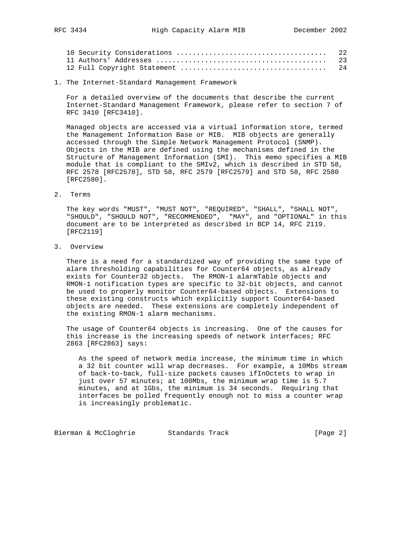| 22 |
|----|
|    |
|    |

1. The Internet-Standard Management Framework

 For a detailed overview of the documents that describe the current Internet-Standard Management Framework, please refer to section 7 of RFC 3410 [RFC3410].

 Managed objects are accessed via a virtual information store, termed the Management Information Base or MIB. MIB objects are generally accessed through the Simple Network Management Protocol (SNMP). Objects in the MIB are defined using the mechanisms defined in the Structure of Management Information (SMI). This memo specifies a MIB module that is compliant to the SMIv2, which is described in STD 58, RFC 2578 [RFC2578], STD 58, RFC 2579 [RFC2579] and STD 58, RFC 2580 [RFC2580].

2. Terms

 The key words "MUST", "MUST NOT", "REQUIRED", "SHALL", "SHALL NOT", "SHOULD", "SHOULD NOT", "RECOMMENDED", "MAY", and "OPTIONAL" in this document are to be interpreted as described in BCP 14, RFC 2119. [RFC2119]

3. Overview

 There is a need for a standardized way of providing the same type of alarm thresholding capabilities for Counter64 objects, as already exists for Counter32 objects. The RMON-1 alarmTable objects and RMON-1 notification types are specific to 32-bit objects, and cannot be used to properly monitor Counter64-based objects. Extensions to these existing constructs which explicitly support Counter64-based objects are needed. These extensions are completely independent of the existing RMON-1 alarm mechanisms.

 The usage of Counter64 objects is increasing. One of the causes for this increase is the increasing speeds of network interfaces; RFC 2863 [RFC2863] says:

 As the speed of network media increase, the minimum time in which a 32 bit counter will wrap decreases. For example, a 10Mbs stream of back-to-back, full-size packets causes ifInOctets to wrap in just over 57 minutes; at 100Mbs, the minimum wrap time is 5.7 minutes, and at 1Gbs, the minimum is 34 seconds. Requiring that interfaces be polled frequently enough not to miss a counter wrap is increasingly problematic.

Bierman & McCloghrie Standards Track [Page 2]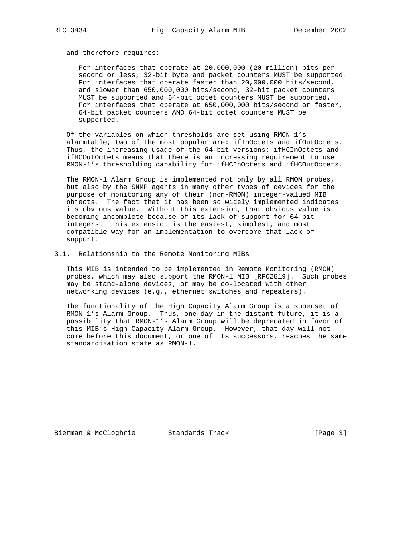and therefore requires:

 For interfaces that operate at 20,000,000 (20 million) bits per second or less, 32-bit byte and packet counters MUST be supported. For interfaces that operate faster than 20,000,000 bits/second, and slower than 650,000,000 bits/second, 32-bit packet counters MUST be supported and 64-bit octet counters MUST be supported. For interfaces that operate at 650,000,000 bits/second or faster, 64-bit packet counters AND 64-bit octet counters MUST be supported.

 Of the variables on which thresholds are set using RMON-1's alarmTable, two of the most popular are: ifInOctets and ifOutOctets. Thus, the increasing usage of the 64-bit versions: ifHCInOctets and ifHCOutOctets means that there is an increasing requirement to use RMON-1's thresholding capability for ifHCInOctets and ifHCOutOctets.

 The RMON-1 Alarm Group is implemented not only by all RMON probes, but also by the SNMP agents in many other types of devices for the purpose of monitoring any of their (non-RMON) integer-valued MIB objects. The fact that it has been so widely implemented indicates its obvious value. Without this extension, that obvious value is becoming incomplete because of its lack of support for 64-bit integers. This extension is the easiest, simplest, and most compatible way for an implementation to overcome that lack of support.

3.1. Relationship to the Remote Monitoring MIBs

 This MIB is intended to be implemented in Remote Monitoring (RMON) probes, which may also support the RMON-1 MIB [RFC2819]. Such probes may be stand-alone devices, or may be co-located with other networking devices (e.g., ethernet switches and repeaters).

 The functionality of the High Capacity Alarm Group is a superset of RMON-1's Alarm Group. Thus, one day in the distant future, it is a possibility that RMON-1's Alarm Group will be deprecated in favor of this MIB's High Capacity Alarm Group. However, that day will not come before this document, or one of its successors, reaches the same standardization state as RMON-1.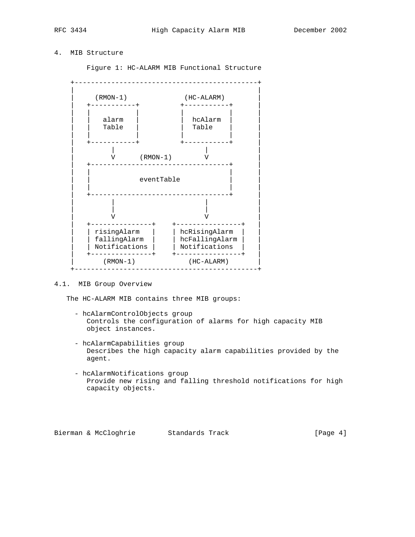# 4. MIB Structure

Figure 1: HC-ALARM MIB Functional Structure



### 4.1. MIB Group Overview

The HC-ALARM MIB contains three MIB groups:

- hcAlarmControlObjects group Controls the configuration of alarms for high capacity MIB object instances.
- hcAlarmCapabilities group Describes the high capacity alarm capabilities provided by the agent.
- hcAlarmNotifications group Provide new rising and falling threshold notifications for high capacity objects.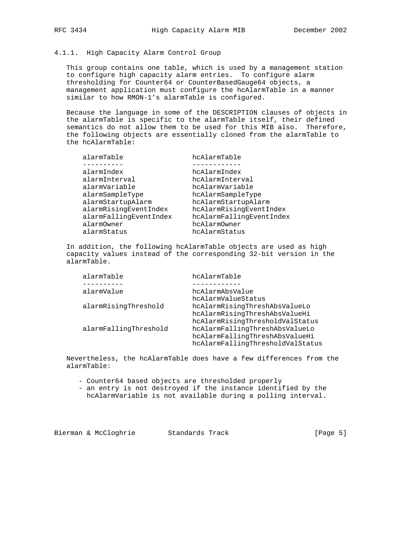### 4.1.1. High Capacity Alarm Control Group

 This group contains one table, which is used by a management station to configure high capacity alarm entries. To configure alarm thresholding for Counter64 or CounterBasedGauge64 objects, a management application must configure the hcAlarmTable in a manner similar to how RMON-1's alarmTable is configured.

 Because the language in some of the DESCRIPTION clauses of objects in the alarmTable is specific to the alarmTable itself, their defined semantics do not allow them to be used for this MIB also. Therefore, the following objects are essentially cloned from the alarmTable to the hcAlarmTable:

| alarmTable             | hcAlarmTable             |
|------------------------|--------------------------|
|                        |                          |
| alarmIndex             | hcAlarmIndex             |
| alarmInterval          | hcAlarmInterval          |
| alarmVariable          | hcAlarmVariable          |
| alarmSampleType        | hcAlarmSampleType        |
| alarmStartupAlarm      | hcAlarmStartupAlarm      |
| alarmRisingEventIndex  | hcAlarmRisingEventIndex  |
| alarmFallingEventIndex | hcAlarmFallingEventIndex |
| alarmOwner             | hcAlarmOwner             |
| alarmStatus            | hcAlarmStatus            |
|                        |                          |

 In addition, the following hcAlarmTable objects are used as high capacity values instead of the corresponding 32-bit version in the alarmTable.

| alarmTable            | hcAlarmTable                     |
|-----------------------|----------------------------------|
|                       |                                  |
| alarmValue            | hcAlarmAbsValue                  |
|                       | hcAlarmValueStatus               |
| alarmRisingThreshold  | hcAlarmRisingThreshAbsValueLo    |
|                       | hcAlarmRisingThreshAbsValueHi    |
|                       | hcAlarmRisingThresholdValStatus  |
| alarmFallingThreshold | hcAlarmFallingThreshAbsValueLo   |
|                       | hcAlarmFallingThreshAbsValueHi   |
|                       | hcAlarmFallingThresholdValStatus |
|                       |                                  |

 Nevertheless, the hcAlarmTable does have a few differences from the alarmTable:

- Counter64 based objects are thresholded properly
- an entry is not destroyed if the instance identified by the hcAlarmVariable is not available during a polling interval.

Bierman & McCloghrie Standards Track [Page 5]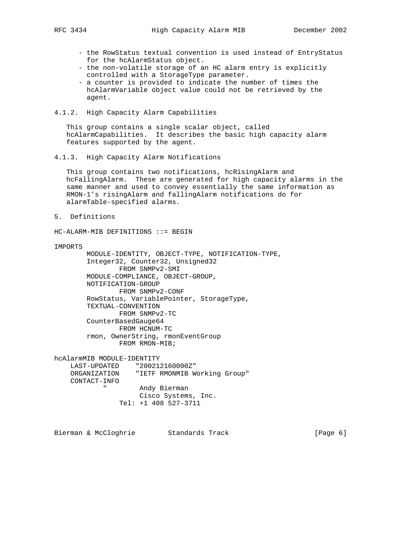- the RowStatus textual convention is used instead of EntryStatus for the hcAlarmStatus object.
- the non-volatile storage of an HC alarm entry is explicitly controlled with a StorageType parameter.
- a counter is provided to indicate the number of times the hcAlarmVariable object value could not be retrieved by the agent.
- 4.1.2. High Capacity Alarm Capabilities

 This group contains a single scalar object, called hcAlarmCapabilities. It describes the basic high capacity alarm features supported by the agent.

4.1.3. High Capacity Alarm Notifications

 This group contains two notifications, hcRisingAlarm and hcFallingAlarm. These are generated for high capacity alarms in the same manner and used to convey essentially the same information as RMON-1's risingAlarm and fallingAlarm notifications do for alarmTable-specified alarms.

5. Definitions

HC-ALARM-MIB DEFINITIONS ::= BEGIN

```
IMPORTS
```

```
 MODULE-IDENTITY, OBJECT-TYPE, NOTIFICATION-TYPE,
         Integer32, Counter32, Unsigned32
                FROM SNMPv2-SMI
         MODULE-COMPLIANCE, OBJECT-GROUP,
         NOTIFICATION-GROUP
                 FROM SNMPv2-CONF
         RowStatus, VariablePointer, StorageType,
         TEXTUAL-CONVENTION
                FROM SNMPv2-TC
         CounterBasedGauge64
               FROM HCNUM-TC
         rmon, OwnerString, rmonEventGroup
                FROM RMON-MIB;
hcAlarmMIB MODULE-IDENTITY
     LAST-UPDATED "200212160000Z"
     ORGANIZATION "IETF RMONMIB Working Group"
     CONTACT-INFO
             " Andy Bierman
                     Cisco Systems, Inc.
```

```
 Tel: +1 408 527-3711
```
Bierman & McCloghrie Standards Track (Page 6)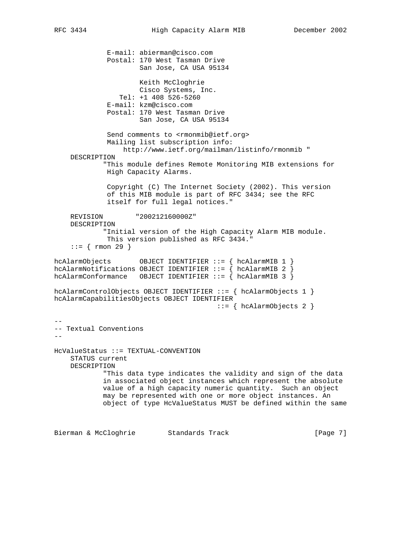E-mail: abierman@cisco.com Postal: 170 West Tasman Drive San Jose, CA USA 95134 Keith McCloghrie Cisco Systems, Inc. Tel: +1 408 526-5260 E-mail: kzm@cisco.com Postal: 170 West Tasman Drive San Jose, CA USA 95134 Send comments to <rmonmib@ietf.org> Mailing list subscription info: http://www.ietf.org/mailman/listinfo/rmonmib " DESCRIPTION "This module defines Remote Monitoring MIB extensions for High Capacity Alarms. Copyright (C) The Internet Society (2002). This version of this MIB module is part of RFC 3434; see the RFC itself for full legal notices." REVISION "200212160000Z" DESCRIPTION "Initial version of the High Capacity Alarm MIB module. This version published as RFC 3434." ::= { rmon 29 } hcAlarmObjects OBJECT IDENTIFIER ::= { hcAlarmMIB 1 } hcAlarmNotifications OBJECT IDENTIFIER ::= { hcAlarmMIB 2 } hcAlarmConformance OBJECT IDENTIFIER  $::=$   $\{$  hcAlarmMIB 3  $\}$ hcAlarmControlObjects OBJECT IDENTIFIER ::= { hcAlarmObjects 1 } hcAlarmCapabilitiesObjects OBJECT IDENTIFIER  $::=$  { hcAlarmObjects 2 } -- -- Textual Conventions -- HcValueStatus ::= TEXTUAL-CONVENTION STATUS current DESCRIPTION "This data type indicates the validity and sign of the data in associated object instances which represent the absolute value of a high capacity numeric quantity. Such an object may be represented with one or more object instances. An object of type HcValueStatus MUST be defined within the same

Bierman & McCloghrie Standards Track [Page 7]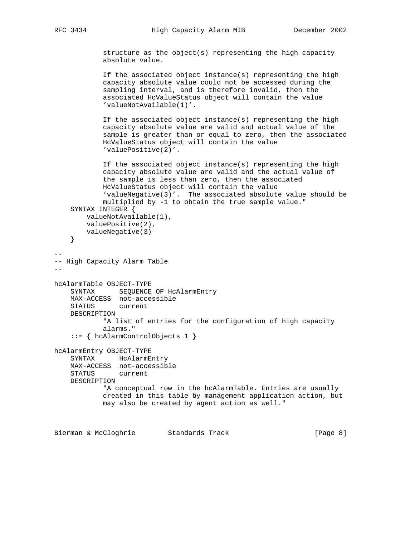structure as the object(s) representing the high capacity absolute value.

 If the associated object instance(s) representing the high capacity absolute value could not be accessed during the sampling interval, and is therefore invalid, then the associated HcValueStatus object will contain the value 'valueNotAvailable(1)'.

 If the associated object instance(s) representing the high capacity absolute value are valid and actual value of the sample is greater than or equal to zero, then the associated HcValueStatus object will contain the value 'valuePositive(2)'.

```
 If the associated object instance(s) representing the high
             capacity absolute value are valid and the actual value of
             the sample is less than zero, then the associated
             HcValueStatus object will contain the value
             'valueNegative(3)'. The associated absolute value should be
             multiplied by -1 to obtain the true sample value."
     SYNTAX INTEGER {
         valueNotAvailable(1),
         valuePositive(2),
         valueNegative(3)
     }
--
-- High Capacity Alarm Table
--
hcAlarmTable OBJECT-TYPE
     SYNTAX SEQUENCE OF HcAlarmEntry
     MAX-ACCESS not-accessible
     STATUS current
     DESCRIPTION
             "A list of entries for the configuration of high capacity
             alarms."
     ::= { hcAlarmControlObjects 1 }
hcAlarmEntry OBJECT-TYPE
     SYNTAX HcAlarmEntry
    MAX-ACCESS not-accessible
     STATUS current
    DESCRIPTION
             "A conceptual row in the hcAlarmTable. Entries are usually
             created in this table by management application action, but
             may also be created by agent action as well."
```
Bierman & McCloghrie Standards Track [Page 8]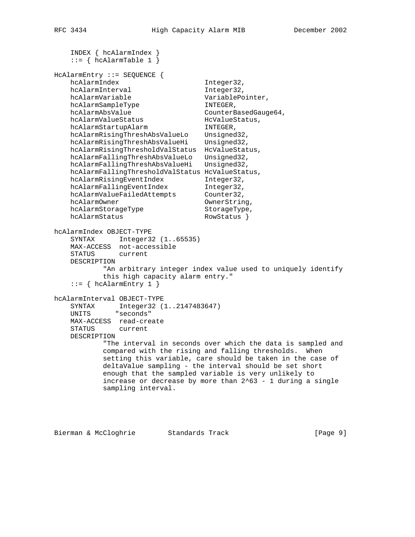```
 INDEX { hcAlarmIndex }
    ::= { hcAlarmTable 1 }
HcAlarmEntry ::= SEQUENCE {
   hcAlarmIndex Integer32,
   hcAlarmInterval Integer32,
    hcAlarmVariable VariablePointer,
   hcAlarmSampleType
hcAlarmAbsValue CounterBasedGauge64,
hcAlarmValueStatus HeValueStatus,
hcAlarmStartupAlarm INTEGER,
 hcAlarmRisingThreshAbsValueLo Unsigned32,
hcAlarmRisingThreshAbsValueHi Unsigned32,
 hcAlarmRisingThresholdValStatus HcValueStatus,
 hcAlarmFallingThreshAbsValueLo Unsigned32,
 hcAlarmFallingThreshAbsValueHi Unsigned32,
    hcAlarmFallingThresholdValStatus HcValueStatus,
 hcAlarmRisingEventIndex Integer32,
 hcAlarmFallingEventIndex Integer32,
hcAlarmValueFailedAttempts Counter32,
hcAlarmOwner Computer Computer Computer
hcAlarmStorageType StorageType,
hcAlarmStatus RowStatus }
hcAlarmIndex OBJECT-TYPE
    SYNTAX Integer32 (1..65535)
    MAX-ACCESS not-accessible
    STATUS current
    DESCRIPTION
           "An arbitrary integer index value used to uniquely identify
           this high capacity alarm entry."
   ::= \{ \text{hclbarmEntry 1 } \}hcAlarmInterval OBJECT-TYPE
 SYNTAX Integer32 (1..2147483647)
 UNITS "seconds"
    MAX-ACCESS read-create
    STATUS current
    DESCRIPTION
           "The interval in seconds over which the data is sampled and
           compared with the rising and falling thresholds. When
           setting this variable, care should be taken in the case of
           deltaValue sampling - the interval should be set short
           enough that the sampled variable is very unlikely to
          increase or decrease by more than 2^{\wedge}63 - 1 during a single
           sampling interval.
```
Bierman & McCloghrie Standards Track (Page 9)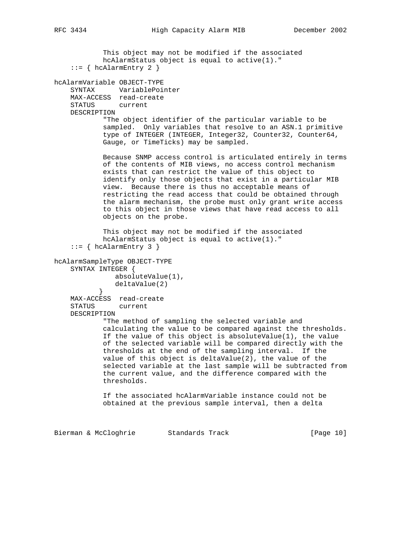This object may not be modified if the associated hcAlarmStatus object is equal to active(1)."  $::=$  { hcAlarmEntry 2 } hcAlarmVariable OBJECT-TYPE SYNTAX VariablePointer MAX-ACCESS read-create STATUS current DESCRIPTION "The object identifier of the particular variable to be sampled. Only variables that resolve to an ASN.1 primitive type of INTEGER (INTEGER, Integer32, Counter32, Counter64, Gauge, or TimeTicks) may be sampled. Because SNMP access control is articulated entirely in terms of the contents of MIB views, no access control mechanism exists that can restrict the value of this object to identify only those objects that exist in a particular MIB view. Because there is thus no acceptable means of restricting the read access that could be obtained through the alarm mechanism, the probe must only grant write access to this object in those views that have read access to all objects on the probe. This object may not be modified if the associated hcAlarmStatus object is equal to active(1)."  $::=$  { hcAlarmEntry 3 } hcAlarmSampleType OBJECT-TYPE SYNTAX INTEGER { absoluteValue(1), deltaValue(2)<br>} } MAX-ACCESS read-create STATUS current DESCRIPTION "The method of sampling the selected variable and calculating the value to be compared against the thresholds. If the value of this object is absoluteValue $(1)$ , the value of the selected variable will be compared directly with the thresholds at the end of the sampling interval. If the value of this object is deltaValue(2), the value of the selected variable at the last sample will be subtracted from the current value, and the difference compared with the thresholds. If the associated hcAlarmVariable instance could not be obtained at the previous sample interval, then a delta Bierman & McCloghrie Standards Track [Page 10]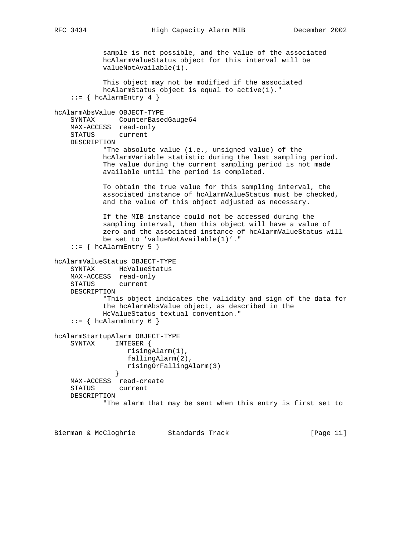```
 sample is not possible, and the value of the associated
             hcAlarmValueStatus object for this interval will be
             valueNotAvailable(1).
             This object may not be modified if the associated
             hcAlarmStatus object is equal to active(1)."
    ::= { hcAlarmEntry 4 }
hcAlarmAbsValue OBJECT-TYPE
     SYNTAX CounterBasedGauge64
     MAX-ACCESS read-only
     STATUS current
     DESCRIPTION
            "The absolute value (i.e., unsigned value) of the
            hcAlarmVariable statistic during the last sampling period.
             The value during the current sampling period is not made
             available until the period is completed.
             To obtain the true value for this sampling interval, the
             associated instance of hcAlarmValueStatus must be checked,
             and the value of this object adjusted as necessary.
             If the MIB instance could not be accessed during the
             sampling interval, then this object will have a value of
             zero and the associated instance of hcAlarmValueStatus will
             be set to 'valueNotAvailable(1)'."
    ::= { hcAlarmEntry 5 }
hcAlarmValueStatus OBJECT-TYPE
     SYNTAX HcValueStatus
    MAX-ACCESS read-only
    STATUS current
     DESCRIPTION
             "This object indicates the validity and sign of the data for
             the hcAlarmAbsValue object, as described in the
            HcValueStatus textual convention."
     ::= { hcAlarmEntry 6 }
hcAlarmStartupAlarm OBJECT-TYPE
     SYNTAX INTEGER {
                  risingAlarm(1),
                  fallingAlarm(2),
                  risingOrFallingAlarm(3)
 }
     MAX-ACCESS read-create
     STATUS current
     DESCRIPTION
             "The alarm that may be sent when this entry is first set to
```
Bierman & McCloghrie Standards Track [Page 11]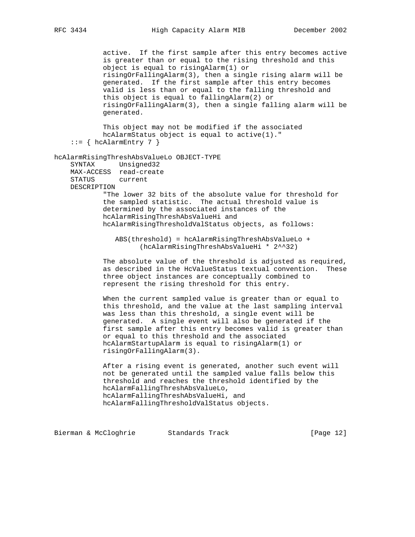active. If the first sample after this entry becomes active is greater than or equal to the rising threshold and this object is equal to risingAlarm(1) or risingOrFallingAlarm(3), then a single rising alarm will be generated. If the first sample after this entry becomes valid is less than or equal to the falling threshold and this object is equal to fallingAlarm(2) or risingOrFallingAlarm(3), then a single falling alarm will be generated. This object may not be modified if the associated hcAlarmStatus object is equal to active(1)."  $::=$  { hcAlarmEntry 7 } hcAlarmRisingThreshAbsValueLo OBJECT-TYPE SYNTAX Unsigned32 MAX-ACCESS read-create STATUS DESCRIPTION "The lower 32 bits of the absolute value for threshold for the sampled statistic. The actual threshold value is determined by the associated instances of the hcAlarmRisingThreshAbsValueHi and hcAlarmRisingThresholdValStatus objects, as follows: ABS(threshold) = hcAlarmRisingThreshAbsValueLo + (hcAlarmRisingThreshAbsValueHi \* 2^^32) The absolute value of the threshold is adjusted as required, as described in the HcValueStatus textual convention. These three object instances are conceptually combined to represent the rising threshold for this entry. When the current sampled value is greater than or equal to

 this threshold, and the value at the last sampling interval was less than this threshold, a single event will be generated. A single event will also be generated if the first sample after this entry becomes valid is greater than or equal to this threshold and the associated hcAlarmStartupAlarm is equal to risingAlarm(1) or risingOrFallingAlarm(3).

 After a rising event is generated, another such event will not be generated until the sampled value falls below this threshold and reaches the threshold identified by the hcAlarmFallingThreshAbsValueLo, hcAlarmFallingThreshAbsValueHi, and hcAlarmFallingThresholdValStatus objects.

Bierman & McCloghrie Standards Track [Page 12]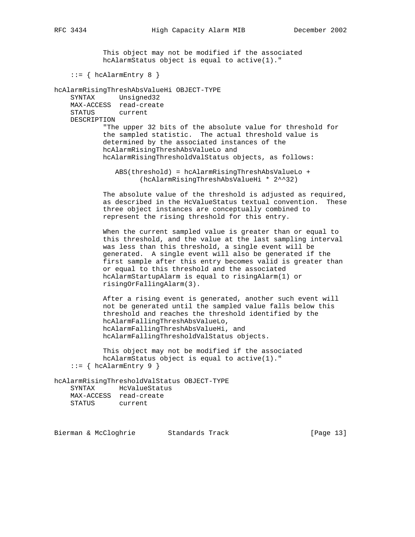This object may not be modified if the associated hcAlarmStatus object is equal to active(1)."  $::=$  { hcAlarmEntry 8 } hcAlarmRisingThreshAbsValueHi OBJECT-TYPE SYNTAX Unsigned32 MAX-ACCESS read-create STATUS current DESCRIPTION "The upper 32 bits of the absolute value for threshold for the sampled statistic. The actual threshold value is determined by the associated instances of the hcAlarmRisingThreshAbsValueLo and hcAlarmRisingThresholdValStatus objects, as follows: ABS(threshold) = hcAlarmRisingThreshAbsValueLo + (hcAlarmRisingThreshAbsValueHi \* 2^^32) The absolute value of the threshold is adjusted as required, as described in the HcValueStatus textual convention. These three object instances are conceptually combined to represent the rising threshold for this entry. When the current sampled value is greater than or equal to this threshold, and the value at the last sampling interval was less than this threshold, a single event will be generated. A single event will also be generated if the first sample after this entry becomes valid is greater than or equal to this threshold and the associated hcAlarmStartupAlarm is equal to risingAlarm(1) or risingOrFallingAlarm(3).

> After a rising event is generated, another such event will not be generated until the sampled value falls below this threshold and reaches the threshold identified by the hcAlarmFallingThreshAbsValueLo, hcAlarmFallingThreshAbsValueHi, and hcAlarmFallingThresholdValStatus objects.

 This object may not be modified if the associated hcAlarmStatus object is equal to active(1)."  $::=$  { hcAlarmEntry 9 }

hcAlarmRisingThresholdValStatus OBJECT-TYPE SYNTAX HcValueStatus MAX-ACCESS read-create STATUS current

Bierman & McCloghrie Standards Track [Page 13]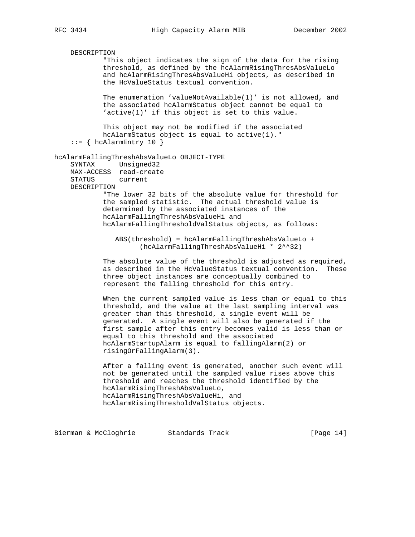DESCRIPTION "This object indicates the sign of the data for the rising threshold, as defined by the hcAlarmRisingThresAbsValueLo and hcAlarmRisingThresAbsValueHi objects, as described in the HcValueStatus textual convention. The enumeration 'valueNotAvailable(1)' is not allowed, and the associated hcAlarmStatus object cannot be equal to 'active(1)' if this object is set to this value. This object may not be modified if the associated hcAlarmStatus object is equal to active(1)."  $::=$  { hcAlarmEntry 10 } hcAlarmFallingThreshAbsValueLo OBJECT-TYPE SYNTAX Unsigned32 MAX-ACCESS read-create STATUS DESCRIPTION "The lower 32 bits of the absolute value for threshold for the sampled statistic. The actual threshold value is determined by the associated instances of the hcAlarmFallingThreshAbsValueHi and hcAlarmFallingThresholdValStatus objects, as follows: ABS(threshold) = hcAlarmFallingThreshAbsValueLo + (hcAlarmFallingThreshAbsValueHi \* 2^^32) The absolute value of the threshold is adjusted as required, as described in the HcValueStatus textual convention. These three object instances are conceptually combined to represent the falling threshold for this entry. When the current sampled value is less than or equal to this threshold, and the value at the last sampling interval was greater than this threshold, a single event will be generated. A single event will also be generated if the first sample after this entry becomes valid is less than or equal to this threshold and the associated hcAlarmStartupAlarm is equal to fallingAlarm(2) or risingOrFallingAlarm(3). After a falling event is generated, another such event will not be generated until the sampled value rises above this threshold and reaches the threshold identified by the hcAlarmRisingThreshAbsValueLo, hcAlarmRisingThreshAbsValueHi, and hcAlarmRisingThresholdValStatus objects.

Bierman & McCloghrie Standards Track [Page 14]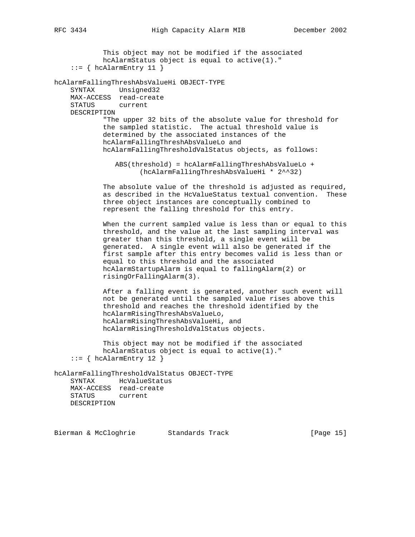This object may not be modified if the associated hcAlarmStatus object is equal to active(1)."  $::=$  { hcAlarmEntry 11 } hcAlarmFallingThreshAbsValueHi OBJECT-TYPE SYNTAX Unsigned32 MAX-ACCESS read-create STATUS current DESCRIPTION "The upper 32 bits of the absolute value for threshold for the sampled statistic. The actual threshold value is determined by the associated instances of the hcAlarmFallingThreshAbsValueLo and hcAlarmFallingThresholdValStatus objects, as follows: ABS(threshold) = hcAlarmFallingThreshAbsValueLo + (hcAlarmFallingThreshAbsValueHi \* 2^^32) The absolute value of the threshold is adjusted as required, as described in the HcValueStatus textual convention. These three object instances are conceptually combined to represent the falling threshold for this entry. When the current sampled value is less than or equal to this threshold, and the value at the last sampling interval was greater than this threshold, a single event will be generated. A single event will also be generated if the first sample after this entry becomes valid is less than or equal to this threshold and the associated hcAlarmStartupAlarm is equal to fallingAlarm(2) or risingOrFallingAlarm(3). After a falling event is generated, another such event will not be generated until the sampled value rises above this threshold and reaches the threshold identified by the hcAlarmRisingThreshAbsValueLo, hcAlarmRisingThreshAbsValueHi, and hcAlarmRisingThresholdValStatus objects. This object may not be modified if the associated hcAlarmStatus object is equal to active(1)."  $::=$  { hcAlarmEntry 12 } hcAlarmFallingThresholdValStatus OBJECT-TYPE SYNTAX HcValueStatus MAX-ACCESS read-create STATUS current DESCRIPTION Bierman & McCloghrie Standards Track [Page 15]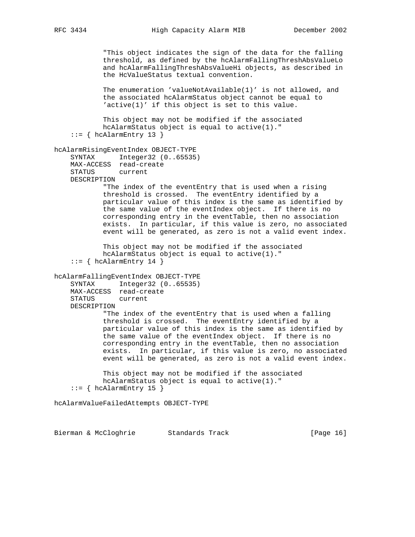"This object indicates the sign of the data for the falling threshold, as defined by the hcAlarmFallingThreshAbsValueLo and hcAlarmFallingThreshAbsValueHi objects, as described in the HcValueStatus textual convention. The enumeration 'valueNotAvailable(1)' is not allowed, and the associated hcAlarmStatus object cannot be equal to 'active(1)' if this object is set to this value. This object may not be modified if the associated hcAlarmStatus object is equal to active(1)."  $::=$  { hcAlarmEntry 13 } hcAlarmRisingEventIndex OBJECT-TYPE SYNTAX Integer32 (0..65535) MAX-ACCESS read-create STATUS current DESCRIPTION "The index of the eventEntry that is used when a rising threshold is crossed. The eventEntry identified by a particular value of this index is the same as identified by the same value of the eventIndex object. If there is no corresponding entry in the eventTable, then no association exists. In particular, if this value is zero, no associated event will be generated, as zero is not a valid event index. This object may not be modified if the associated hcAlarmStatus object is equal to active(1)."  $::=$  { hcAlarmEntry 14 } hcAlarmFallingEventIndex OBJECT-TYPE SYNTAX Integer32 (0..65535) MAX-ACCESS read-create STATUS current DESCRIPTION "The index of the eventEntry that is used when a falling threshold is crossed. The eventEntry identified by a particular value of this index is the same as identified by the same value of the eventIndex object. If there is no corresponding entry in the eventTable, then no association exists. In particular, if this value is zero, no associated event will be generated, as zero is not a valid event index. This object may not be modified if the associated hcAlarmStatus object is equal to active(1)."  $::=$  { hcAlarmEntry 15 }

hcAlarmValueFailedAttempts OBJECT-TYPE

Bierman & McCloghrie Standards Track [Page 16]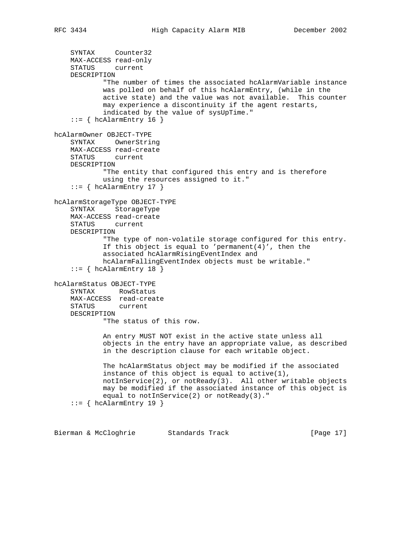```
 MAX-ACCESS read-only
     STATUS current
     DESCRIPTION
             "The number of times the associated hcAlarmVariable instance
             was polled on behalf of this hcAlarmEntry, (while in the
             active state) and the value was not available. This counter
             may experience a discontinuity if the agent restarts,
             indicated by the value of sysUpTime."
    ::= { hcAlarmEntry 16 }
hcAlarmOwner OBJECT-TYPE
     SYNTAX OwnerString
     MAX-ACCESS read-create
     STATUS current
     DESCRIPTION
             "The entity that configured this entry and is therefore
             using the resources assigned to it."
    ::= { hcAlarmEntry 17 }
hcAlarmStorageType OBJECT-TYPE
     SYNTAX StorageType
     MAX-ACCESS read-create
    STATUS current
    DESCRIPTION
             "The type of non-volatile storage configured for this entry.
            If this object is equal to 'permanent(4)', then the
             associated hcAlarmRisingEventIndex and
             hcAlarmFallingEventIndex objects must be writable."
    ::= { hcAlarmEntry 18 }
hcAlarmStatus OBJECT-TYPE
     SYNTAX RowStatus
     MAX-ACCESS read-create
     STATUS current
     DESCRIPTION
             "The status of this row.
             An entry MUST NOT exist in the active state unless all
             objects in the entry have an appropriate value, as described
             in the description clause for each writable object.
             The hcAlarmStatus object may be modified if the associated
             instance of this object is equal to active(1),
             notInService(2), or notReady(3). All other writable objects
             may be modified if the associated instance of this object is
             equal to notInService(2) or notReady(3)."
    ::= { hcAlarmEntry 19 }
```
Bierman & McCloghrie Standards Track [Page 17]

SYNTAX Counter32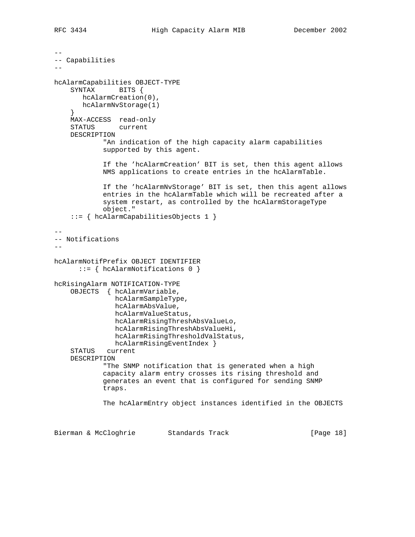```
--
-- Capabilities
--
hcAlarmCapabilities OBJECT-TYPE
     SYNTAX BITS {
       hcAlarmCreation(0),
        hcAlarmNvStorage(1)
     }
     MAX-ACCESS read-only
     STATUS current
     DESCRIPTION
             "An indication of the high capacity alarm capabilities
             supported by this agent.
             If the 'hcAlarmCreation' BIT is set, then this agent allows
             NMS applications to create entries in the hcAlarmTable.
             If the 'hcAlarmNvStorage' BIT is set, then this agent allows
             entries in the hcAlarmTable which will be recreated after a
             system restart, as controlled by the hcAlarmStorageType
             object."
     ::= { hcAlarmCapabilitiesObjects 1 }
--
-- Notifications
--
hcAlarmNotifPrefix OBJECT IDENTIFIER
       ::= { hcAlarmNotifications 0 }
hcRisingAlarm NOTIFICATION-TYPE
     OBJECTS { hcAlarmVariable,
                hcAlarmSampleType,
                hcAlarmAbsValue,
                hcAlarmValueStatus,
                hcAlarmRisingThreshAbsValueLo,
                hcAlarmRisingThreshAbsValueHi,
                hcAlarmRisingThresholdValStatus,
                hcAlarmRisingEventIndex }
     STATUS current
     DESCRIPTION
             "The SNMP notification that is generated when a high
             capacity alarm entry crosses its rising threshold and
             generates an event that is configured for sending SNMP
             traps.
             The hcAlarmEntry object instances identified in the OBJECTS
```
Bierman & McCloghrie Standards Track [Page 18]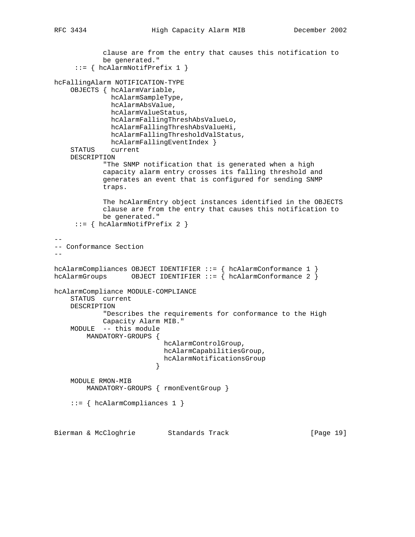```
 clause are from the entry that causes this notification to
             be generated."
      ::= { hcAlarmNotifPrefix 1 }
hcFallingAlarm NOTIFICATION-TYPE
     OBJECTS { hcAlarmVariable,
               hcAlarmSampleType,
               hcAlarmAbsValue,
               hcAlarmValueStatus,
               hcAlarmFallingThreshAbsValueLo,
               hcAlarmFallingThreshAbsValueHi,
               hcAlarmFallingThresholdValStatus,
              hcAlarmFallingEventIndex }
     STATUS current
     DESCRIPTION
             "The SNMP notification that is generated when a high
             capacity alarm entry crosses its falling threshold and
             generates an event that is configured for sending SNMP
             traps.
             The hcAlarmEntry object instances identified in the OBJECTS
             clause are from the entry that causes this notification to
             be generated."
      ::= { hcAlarmNotifPrefix 2 }
--
-- Conformance Section
--
hcAlarmCompliances OBJECT IDENTIFIER ::= { hcAlarmConformance 1 }
hcAlarmGroups OBJECT IDENTIFIER := \begin{cases} \text{hch} \\ \text{hch} \end{cases} halarmConformance 2 \}hcAlarmCompliance MODULE-COMPLIANCE
     STATUS current
     DESCRIPTION
             "Describes the requirements for conformance to the High
             Capacity Alarm MIB."
     MODULE -- this module
         MANDATORY-GROUPS {
                            hcAlarmControlGroup,
                            hcAlarmCapabilitiesGroup,
                            hcAlarmNotificationsGroup
 }
     MODULE RMON-MIB
         MANDATORY-GROUPS { rmonEventGroup }
     ::= { hcAlarmCompliances 1 }
Bierman & McCloghrie Standards Track [Page 19]
```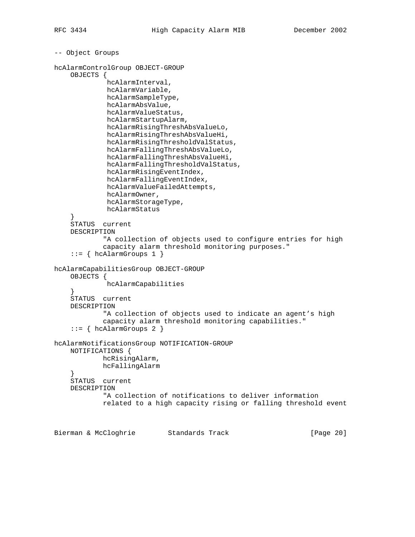```
-- Object Groups
hcAlarmControlGroup OBJECT-GROUP
     OBJECTS {
              hcAlarmInterval,
              hcAlarmVariable,
              hcAlarmSampleType,
              hcAlarmAbsValue,
              hcAlarmValueStatus,
              hcAlarmStartupAlarm,
              hcAlarmRisingThreshAbsValueLo,
              hcAlarmRisingThreshAbsValueHi,
              hcAlarmRisingThresholdValStatus,
              hcAlarmFallingThreshAbsValueLo,
              hcAlarmFallingThreshAbsValueHi,
              hcAlarmFallingThresholdValStatus,
              hcAlarmRisingEventIndex,
              hcAlarmFallingEventIndex,
              hcAlarmValueFailedAttempts,
              hcAlarmOwner,
              hcAlarmStorageType,
              hcAlarmStatus
 }
     STATUS current
     DESCRIPTION
             "A collection of objects used to configure entries for high
             capacity alarm threshold monitoring purposes."
    ::= { hcAlarmGroups 1 }
hcAlarmCapabilitiesGroup OBJECT-GROUP
     OBJECTS {
              hcAlarmCapabilities
     }
     STATUS current
     DESCRIPTION
             "A collection of objects used to indicate an agent's high
             capacity alarm threshold monitoring capabilities."
    ::= { hcAlarmGroups 2 }
hcAlarmNotificationsGroup NOTIFICATION-GROUP
     NOTIFICATIONS {
             hcRisingAlarm,
             hcFallingAlarm
     }
     STATUS current
     DESCRIPTION
             "A collection of notifications to deliver information
             related to a high capacity rising or falling threshold event
```
Bierman & McCloghrie Standards Track [Page 20]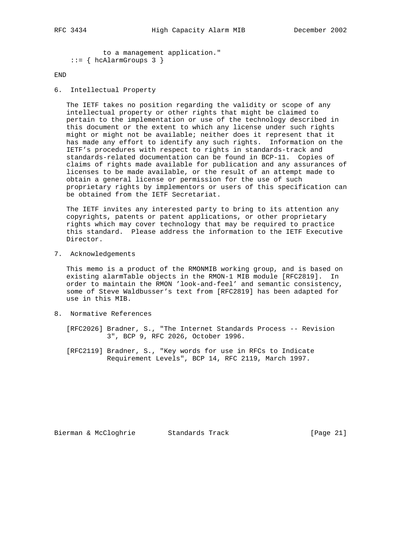```
 to a management application."
::= { hcAlarmGroups 3 }
```
## END

6. Intellectual Property

 The IETF takes no position regarding the validity or scope of any intellectual property or other rights that might be claimed to pertain to the implementation or use of the technology described in this document or the extent to which any license under such rights might or might not be available; neither does it represent that it has made any effort to identify any such rights. Information on the IETF's procedures with respect to rights in standards-track and standards-related documentation can be found in BCP-11. Copies of claims of rights made available for publication and any assurances of licenses to be made available, or the result of an attempt made to obtain a general license or permission for the use of such proprietary rights by implementors or users of this specification can be obtained from the IETF Secretariat.

 The IETF invites any interested party to bring to its attention any copyrights, patents or patent applications, or other proprietary rights which may cover technology that may be required to practice this standard. Please address the information to the IETF Executive Director.

7. Acknowledgements

 This memo is a product of the RMONMIB working group, and is based on existing alarmTable objects in the RMON-1 MIB module [RFC2819]. In order to maintain the RMON 'look-and-feel' and semantic consistency, some of Steve Waldbusser's text from [RFC2819] has been adapted for use in this MIB.

8. Normative References

 [RFC2026] Bradner, S., "The Internet Standards Process -- Revision 3", BCP 9, RFC 2026, October 1996.

 [RFC2119] Bradner, S., "Key words for use in RFCs to Indicate Requirement Levels", BCP 14, RFC 2119, March 1997.

Bierman & McCloghrie Standards Track [Page 21]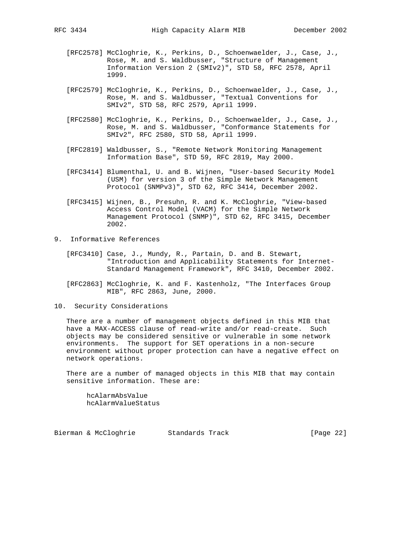- [RFC2578] McCloghrie, K., Perkins, D., Schoenwaelder, J., Case, J., Rose, M. and S. Waldbusser, "Structure of Management Information Version 2 (SMIv2)", STD 58, RFC 2578, April 1999.
- [RFC2579] McCloghrie, K., Perkins, D., Schoenwaelder, J., Case, J., Rose, M. and S. Waldbusser, "Textual Conventions for SMIv2", STD 58, RFC 2579, April 1999.
- [RFC2580] McCloghrie, K., Perkins, D., Schoenwaelder, J., Case, J., Rose, M. and S. Waldbusser, "Conformance Statements for SMIv2", RFC 2580, STD 58, April 1999.
- [RFC2819] Waldbusser, S., "Remote Network Monitoring Management Information Base", STD 59, RFC 2819, May 2000.
- [RFC3414] Blumenthal, U. and B. Wijnen, "User-based Security Model (USM) for version 3 of the Simple Network Management Protocol (SNMPv3)", STD 62, RFC 3414, December 2002.
- [RFC3415] Wijnen, B., Presuhn, R. and K. McCloghrie, "View-based Access Control Model (VACM) for the Simple Network Management Protocol (SNMP)", STD 62, RFC 3415, December 2002.
- 9. Informative References
	- [RFC3410] Case, J., Mundy, R., Partain, D. and B. Stewart, "Introduction and Applicability Statements for Internet- Standard Management Framework", RFC 3410, December 2002.
	- [RFC2863] McCloghrie, K. and F. Kastenholz, "The Interfaces Group MIB", RFC 2863, June, 2000.
- 10. Security Considerations

 There are a number of management objects defined in this MIB that have a MAX-ACCESS clause of read-write and/or read-create. Such objects may be considered sensitive or vulnerable in some network environments. The support for SET operations in a non-secure environment without proper protection can have a negative effect on network operations.

 There are a number of managed objects in this MIB that may contain sensitive information. These are:

 hcAlarmAbsValue hcAlarmValueStatus

Bierman & McCloghrie Standards Track [Page 22]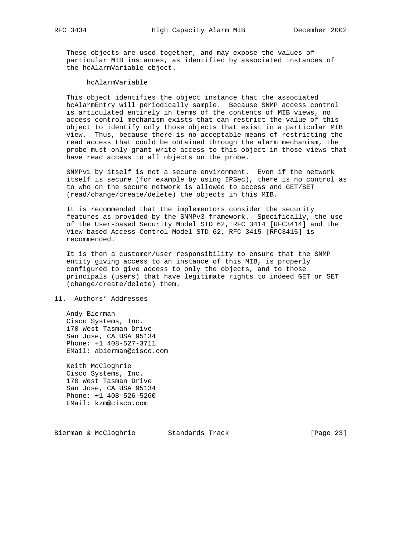These objects are used together, and may expose the values of particular MIB instances, as identified by associated instances of the hcAlarmVariable object.

hcAlarmVariable

 This object identifies the object instance that the associated hcAlarmEntry will periodically sample. Because SNMP access control is articulated entirely in terms of the contents of MIB views, no access control mechanism exists that can restrict the value of this object to identify only those objects that exist in a particular MIB view. Thus, because there is no acceptable means of restricting the read access that could be obtained through the alarm mechanism, the probe must only grant write access to this object in those views that have read access to all objects on the probe.

 SNMPv1 by itself is not a secure environment. Even if the network itself is secure (for example by using IPSec), there is no control as to who on the secure network is allowed to access and GET/SET (read/change/create/delete) the objects in this MIB.

 It is recommended that the implementors consider the security features as provided by the SNMPv3 framework. Specifically, the use of the User-based Security Model STD 62, RFC 3414 [RFC3414] and the View-based Access Control Model STD 62, RFC 3415 [RFC3415] is recommended.

 It is then a customer/user responsibility to ensure that the SNMP entity giving access to an instance of this MIB, is properly configured to give access to only the objects, and to those principals (users) that have legitimate rights to indeed GET or SET (change/create/delete) them.

### 11. Authors' Addresses

 Andy Bierman Cisco Systems, Inc. 170 West Tasman Drive San Jose, CA USA 95134 Phone: +1 408-527-3711 EMail: abierman@cisco.com

 Keith McCloghrie Cisco Systems, Inc. 170 West Tasman Drive San Jose, CA USA 95134 Phone: +1 408-526-5260 EMail: kzm@cisco.com

Bierman & McCloghrie Standards Track [Page 23]